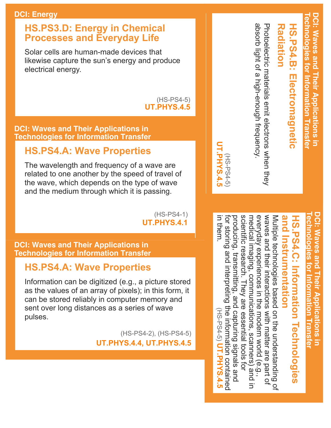#### **DCI: Energy**

#### **HS.PS3.D: Energy in Chemical Processes and Everyday Life**

Solar cells are human-made devices that likewise capture the sun's energy and produce electrical energy.

#### $(HS-PS4-5)$ **UT.PHYS.4.5**

#### **DCI: Waves and Their Applications in Technologies for Information Transfer**

#### **HS.PS4.A: Wave Properties**

The wavelength and frequency of a wave are related to one another by the speed of travel of the wave, which depends on the type of wave and the medium through which it is passing.

> $(HS-PS4-1)$ **UT.PHYS.4.1**

#### **DCI: Waves and Their Applications in Technologies for Information Transfer**

#### **HS.PS4.A: Wave Properties**

Information can be digitized (e.g., a picture stored as the values of an array of pixels); in this form, it can be stored reliably in computer memory and sent over long distances as a series of wave pulses.

> (HS-PS4-2), (HS-PS4-5) **UT.PHYS.4.4, UT.PHYS.4.5**

**Radiation Radiation** 

absorb light of a high-enough frequency. Procoloctric materials emit electrons when they absorb light of a Photoelectric materials emit electrons when they highenough frequency.

(HSPS45) **UT.PHYS.4.5**

**UT.PHYS.4.5**  $(F-554-51)$ 

> **DCI: Waves and Their Applications in EChnologies for OCI: Waves and Their A echnologies for Information** Informa Ications<br>
> In n Transter **Transfer**

## **and HS.PS4.C: Information Technologies HS.PS4.C: Information Technologies Instrumentation**

everyday experiences in the modern world (e.g.,<br>medical imaging, communications, scanners) and in for storing and interpreting the information contained<br>in them.<br>in them. for storing and interpreting producing, transmitting, and capturing signals and scientific research. They are essential tools for scientific research. They are essential tools for everyday experiences in the waves and their interactions with matter are part of waves and their medical imaging, communications, scanners) Multiple technologies based on the understanding of Multiple technologies based on the understanding of transmitting, and capturing signals and interactions with matter are part of the information contained (HS-PS4-5) UT.PHYS.4.5 (HSPS45) modern world (e.g., **UT.PHYS.4.5**

DCI: Waves and Their Applications in **DCI: Waves and Their Applications in I** echnologies for information I ransfer **echnologies for Information Transfer**

**HS.PS4.B: Electromagnetic** 

HS.PS4.B: Electromagnetic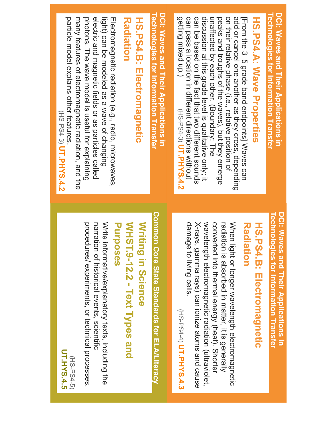| particle model explains other features<br>electric and magnetic fields or as particles called<br>many features of electromagnetic radiation, and the<br>photons. The wave model is useful for explaining<br>light) can be modeled as a wave of changing<br><b>Radiation</b><br>HS.PS4.B: Electromagnetic<br>Electromagnetic radiation (e.g., radio, microwaves,<br>(HS-PS4-3) UT.PHYS.4.2 | DCI: Waves and Their Applications in<br>Technologies for Information Transfer | Technologies for Information Transfer<br>DCI: Waves and Their Applications in<br>getting mixed up.)<br>can pass a location in different directions without<br>peaks and troughs of the waves), but they emerge<br>on their relative phase (i.e., relative position of<br>add or cancel one another as they cross, depending<br>can be based on the fact that two different socrids<br>discussion at this grade level is qualitative only; it<br>[From the 3-5 grade band endpoints] Waxes can<br>HS.PS4.A: Wave Properties<br>unaffected by each other. (Boundary: The<br>(HS-PS4-3) UT.PHYS.4.2 |
|-------------------------------------------------------------------------------------------------------------------------------------------------------------------------------------------------------------------------------------------------------------------------------------------------------------------------------------------------------------------------------------------|-------------------------------------------------------------------------------|--------------------------------------------------------------------------------------------------------------------------------------------------------------------------------------------------------------------------------------------------------------------------------------------------------------------------------------------------------------------------------------------------------------------------------------------------------------------------------------------------------------------------------------------------------------------------------------------------|
| Write informative/explanatory texts, including the<br><b>Writing</b><br>procedures/ experiments, or technical processes.<br>narration of historical events, scientific<br>WHST.9-12.2 - Text Types and<br>Purposes<br>in Science<br><b>UT.HYS.4.5</b><br>(HS-PS4-5)                                                                                                                       | Common Core State State State State State State                               | <b>Technologies for Information Transfer</b><br>DCI: Waves and Their Applications in<br>damage to living cells.<br>wavelength electromagnetic radiation (ultraviolet,<br>converted into the remain energy (heat). Shorter<br>radiation is absorbed in matter, it is generally<br>When light or longer wavelength electromagnetic<br>X-rays, gamma rays) can ionize atoms and cause<br>HS.PS4.B: Electromagnetic<br><b>Radiation</b><br>(HS-PS4-4) UT.PHYS.4.3                                                                                                                                    |

म व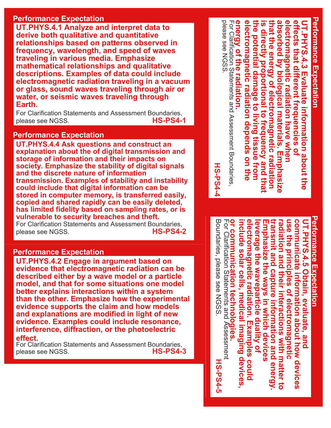#### **Performance Expectation**

**UT.PHYS.4.1 Analyze and interpret data to derive both qualitative and quantitative relationships based on patterns observed in frequency, wavelength, and speed of waves traveling in various media. Emphasize mathematical relationships and qualitative descriptions. Examples of data could include electromagnetic radiation traveling in a vacuum or glass, sound waves traveling through air or water, or seismic waves traveling through Earth.** 

For Clarification Statements and Assessment Boundaries, please see NGSS. **HS-PS4-1**

#### **Performance Expectation**

**UT.PHYS.4.4 Ask questions and construct an explanation about the of digital transmission and storage of information and their impacts on society. Emphasize the stability of digital signals and the discrete nature of information transmission. Examples of stability and instability could include that digital information can be stored in computer memory, is transferred easily, copied and shared rapidly can be easily deleted, has limited fidelity based on sampling rates, or is vulnerable to security breaches and theft.**

For Clarification Statements and Assessment Boundaries,<br> **HS-PS4-2** please see NGSS.

#### **Performance Expectation**

**UT.PHYS.4.2 Engage in argument based on evidence that electromagnetic radiation can be described either by a wave model or a particle model, and that for some situations one model better explains interactions within a system than the other. Emphasize how the experimental evidence supports the claim and how models and explanations are modified in light of new evidence. Examples could include resonance, interference, diffraction, or the photoelectric effect.** 

For Clarification Statements and Assessment Boundaries,<br>**HS-PS4-3** please see NGSS.

Performance Expectation **Performance Expectation** energy of the radiation. electromagnetic radiation depends on the that the energy of electromagnetic radiation absorbed by biological materials. Emphasize For Clarification Statements and Assessment Boundaries, **energy of the radiation. electromagnetic radiation depends on the**  the potential damage to living tissue from **the potential damage to living tissue from that the energy of electromagnetic radiation absorbed by biological materials. Emphasize**  electromagnetic radiation have when **electromagnetic radiation have when effects that different frequencies of**  is directly proportional to frequency and that **is directly proportional to frequency and that UT.PHYS.4.3 Evaluate information about the JT.PHYS.4.3 Evaluate information about the** ffects that different frequencies of

For Clarification Statements and Assessment Boundaries<br>please see NGSS. please see NGSS.

**HS-PS4-4** 

# **Performance Expectation** Performance Expectation

or communication technologies electromagnetic radiation. Examples could transmit and capture information and energy use the principles of electromagnetic communicate information about how devices For Clarification Statements and Assessment For Clarification Statements and Assessment **or communication technologies. electromagnetic radiation. Examples could**  Emphasize the ways in which devices **transmit and capture information and energy.**  radiation and their interactions with matter to **radiation and their interactions with matter to communicate information about how devices**  UT.PHYS.4.5 Obtain, evaluate, and include solar cells, medical imaging devices, **include solar cells, medical imaging devices,**  leverage the waveparticle duality of **leverage the waveparticle duality of Emphasize the ways in which devices use the principles of electromagnetic UT.PHYS.4.5 Obtain, evaluate, and** 

### **HS-PS4-4**

Boundaries, please see NGSS.

Boundaries, please see NGSS

**HS-PS4-5**

**HS-PS4-5**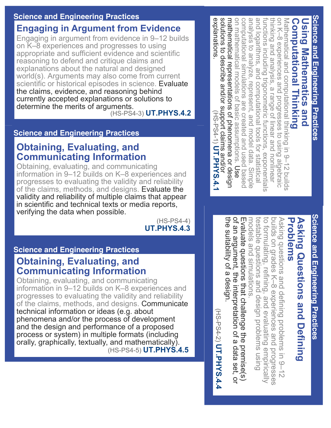#### **Science and Engineering Practices**

#### **Engaging in Argument from Evidence**

Engaging in argument from evidence in 9–12 builds on K–8 experiences and progresses to using appropriate and sufficient evidence and scientific reasoning to defend and critique claims and explanations about the natural and designed world(s). Arguments may also come from current scientific or historical episodes in science. Evaluate the claims, evidence, and reasoning behind currently accepted explanations or solutions to determine the merits of arguments. (HSPS43) **UT.PHYS.4.2**

#### **Science and Engineering Practices**

#### **Obtaining, Evaluating, and Communicating Information**

Obtaining, evaluating, and communicating information in 9–12 builds on K–8 experiences and progresses to evaluating the validity and reliability of the claims, methods, and designs. Evaluate the validity and reliability of multiple claims that appear in scientific and technical texts or media reports, verifying the data when possible.

 $(HS-PS4-4)$ **UT.PHYS.4.3**

#### **Science and Engineering Practices**

#### **Obtaining, Evaluating, and Communicating Information**

Obtaining, evaluating, and communicating information in 9–12 builds on K–8 experiences and progresses to evaluating the validity and reliability of the claims, methods, and designs. Communicate technical information or ideas (e.g. about phenomena and/or the process of development and the design and performance of a proposed process or system) in multiple formats (including orally, graphically, textually, and mathematically). (HSPS45) **UT.PHYS.4.5** explanations solutions to describe and/or support claims and/or functions including trigonometric functions, exponentials<br>and logarithms, and computational tools for statistical mathematical representations of phenomena or design on mathematical models of basic assumptions. Use computational simulations are created and used based analysis to analyze, represent, and model data. Simple thinking and analysis, a range of linear and nonlinear on K-8 experiences and progresses to using algebraic Mathematical and computational thinking in 9-12 builds explanations. solutions mathematical representations of phenomena or design on mathematical models of basic assumptions. computational simulations are created analysis to analyze, functions including trigonometric functions, exponentials thinking and analysis, a range of linear on K–8 experiences Mathematical and computational thinking in 9–12 builds **Computational Thinking Using Mathematics and Computational Thinking** <u>Using Mathematics and</u> logarithms, and computational tools for statistical to describe and/or support claims and/or represent, and model data. Simple and progresses to using algebraic (HS-PS4-1) UT.PHYS.4.1 (HSPS41) and used based and nonlinear **UT.PHYS.4.1**

> Science and Engineering Practices **Science and Engineering Practices**

**Science and Engineering Practices**

Science and Engineering Practices

### Problems **Asking Questions and Defining Asking Questions and Defining Problems**

models and simulations testable questions and design problems using to formulating, refining, and evaluating empirically builds on grades K-8 experiences and testable questions and design problems using to formulating, refining, and evaluating Asking questions and defining problems in 9-12 Asking questions and defining problems in 9–12 models and builds on grades K–8 simulations. experiences and progresses progresses empirically

of an argument, the interpretation of a data set, or Evaluate questions that challenge the premise(s) the suitability of a design. the suitability of a design. of an argument, Evaluate questions that challenge the premise(s) the interpretation of a data set, or

(HS-PS4-2) UT.PHYS.4.4 (HSPS42) **UT.PHYS.4.4**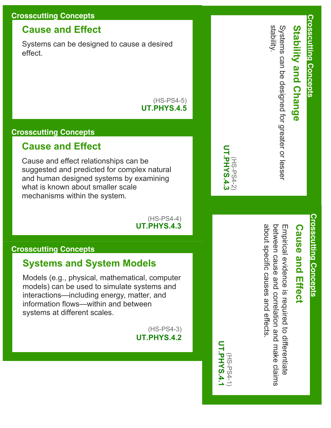#### **Crosscutting Concepts**

#### **Cause and Effect**

Systems can be designed to cause a desired effect.

#### $(HS-PS4-5)$ **UT.PHYS.4.5**

#### **Crosscutting Concepts**

#### **Cause and Effect**

Cause and effect relationships can be suggested and predicted for complex natural and human designed systems by examining what is known about smaller scale mechanisms within the system.

#### $(HS-PS4-4)$ **UT.PHYS.4.3**

#### **Crosscutting Concepts**

#### **Systems and System Models**

Models (e.g., physical, mathematical, computer models) can be used to simulate systems and interactions—including energy, matter, and information flows—within and between systems at different scales.

> $(HS-PS4-3)$ **UT.PHYS.4.2**



(HSPS41) **UT.PHYS.4.1**

UT.PHYS.4. (HS-PS4-2

### **Cause and Effect Cause and Effect**

about specific causes and effects between cause and correlation and make claims Empirical evidence is required to differentiate about specific causes and effects. between cause and Empirical evidence is required to differentiate correlation and make claims

**Crosscutting Concepts**

**Crosscutting Concepts** 

**Stability and Change**

**Stability and Change** 

stability.

Systems can be designed for greater or lesser

Systems can be designed for greater or lesse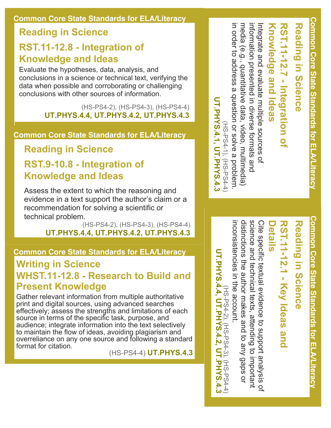#### **Reading in Science**

#### **RST.1112.8 Integration of Knowledge and Ideas**

Evaluate the hypotheses, data, analysis, and conclusions in a science or technical text, verifying the data when possible and corroborating or challenging conclusions with other sources of information.

> (HS-PS4-2), (HS-PS4-3), (HS-PS4-4) **UT.PHYS.4.4, UT.PHYS.4.2, UT.PHYS.4.3**

**Common Core State Standards for ELA/Literacy**

**Reading in Science**

#### **RST.9-10.8 - Integration of Knowledge and Ideas**

Assess the extent to which the reasoning and evidence in a text support the author's claim or a recommendation for solving a scientific or technical problem.

(HS-PS4-2), (HS-PS4-3), (HS-PS4-4) **UT.PHYS.4.4, UT.PHYS.4.2, UT.PHYS.4.3**

#### **Common Core State Standards for ELA/Literacy**

#### **Writing in Science WHST.1112.8 Research to Build and Present Knowledge**

Gather relevant information from multiple authoritative print and digital sources, using advanced searches effectively; assess the strengths and limitations of each source in terms of the specific task, purpose, and audience; integrate information into the text selectively to maintain the flow of ideas, avoiding plagiarism and overreliance on any one source and following a standard format for citation.

(HSPS44) **UT.PHYS.4.3**

information presented in Integrate and evaluate multiple sources of **RST.1112.7 Integration of**  nformation presented in diverse formats and **Knowledge and Ideas** ntegrate and evaluate multiple sources **Knowledge and Ideas RST.11-12.7** - Integration of diverse formats and

media (e.g., quantitative data, video,

in order to address a question or solve a problem.

in order to address a question or solve a problem. media (e.g., quantitative data, video, multimedia

(HSPS41), (HSPS44)

(HS-PS4-1), (HS-PS4-4

**UT.PHYS.4.1, UT.PHYS.4.3**

**UT.PHYS.4.1, UT.PHYS.4.3** 

multimedia)

 $\Omega$ 

**Common Core State Standards for ELA/Literacy Common Core State State State State State School** 

**Common Core State Standards for ELA/Literacy**

Common Core State Standards for ELA/Literacy

**Reading in Science**

Reading in Science

# **Reading in Science** Reading in Science

### **RST.1112.1 Key Ideas and RST.11-12.1 - Key Ideas Details** pue :

distinctions the author makes and to any gaps or science and technical texts, attending to important inconsistencies in the account. distinctions the author makes science and Cite specific textual evidence to support analysis of nconsistencies in the account Cite specific textual evidence to support analysis of technical texts, attending to important and to any gaps or

UT.PHYS.4.4, UT.PHYS.4.2, UT.PHYS.4.3 **UT.PHYS.4.4, UT.PHYS.4.2, UT.PHYS.4.3** (HS-PS4-2), (HS-PS4-3), (HS-PS4-4 (HSPS42), (HSPS43), (HSPS44)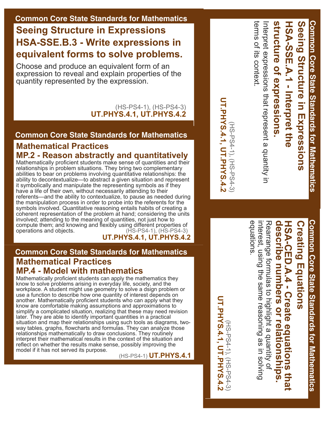#### **Common Core State Standards for Mathematics**

#### **Seeing Structure in Expressions HSA-SSE.B.3 - Write expressions in equivalent forms to solve problems.**

Choose and produce an equivalent form of an expression to reveal and explain properties of the quantity represented by the expression.

#### (HS-PS4-1), (HS-PS4-3) **UT.PHYS.4.1, UT.PHYS.4.2**

#### **Common Core State Standards for Mathematics**

#### **Mathematical Practices MP.2 Reason abstractly and quantitatively**

Mathematically proficient students make sense of quantities and their relationships in problem situations. They bring two complementary abilities to bear on problems involving quantitative relationships: the ability to decontextualize—to abstract a given situation and represent it symbolically and manipulate the representing symbols as if they have a life of their own, without necessarily attending to their referents—and the ability to contextualize, to pause as needed during the manipulation process in order to probe into the referents for the symbols involved. Quantitative reasoning entails habits of creating a coherent representation of the problem at hand; considering the units involved; attending to the meaning of quantities, not just how to compute them; and knowing and flexibly using different properties of operations and objects. (HS-PS4-1), (HS-PS4-3) **UT.PHYS.4.1, UT.PHYS.4.2**

#### **Common Core State Standards for Mathematics Mathematical Practices MP.4 Model with mathematics**

Mathematically proficient students can apply the mathematics they know to solve problems arising in everyday life, society, and the workplace. A student might use geometry to solve a dsign problem or use a function to describe how one quantity of interest depends on another. Mathematically proficient students who can apply what they know are comfortable making assumptions and approximations to simplify a complicated situation, realizing that these may need revision later. They are able to identify important quantities in a practical situation and map their relationships using such tools as diagrams, twoway tables, graphs, flowcharts and formulas. They can analyze those relationships mathematically to draw conclusions. They routinely interpret their mathematical results in the context of the situation and reflect on whether the results make sense, possibly improving the model if it has not served its purpose.

(HSPS41) **UT.PHYS.4.1**

terms of its context. terms of its context Interpret expressions that represent a quantity in nterpret expressions that represent a quantity in

(HSPS41), (HSPS43)

[HS-PS4-1), (HS-PS4-3)

**UT.PHYS.4.1, UT.PHYS.4.2**

**UT.PHYS.4.1, UT.PHYS.4.2** 

**structure of expressions.**

structure of expressions

**HSASSE.A.1 Interpret the** 

HSA-SSE.A.1 - Interpret the

Common Core State Standards for Mathematics **Common Core State Standards for Mathematics**

# **Creating Equations Creating Equations**

Seeing Structure in Expressions

**Structure in Expressions**

**Common Core State Standards for Mathematics**

**Common Core State Standards for Mathematics** 

# describe numbers or relationships. **describe numbers or HSACED.A.4 Create equations that**  HSA-CED.A.4 - Create equations that **relationships.**

equations. Rearrange formulas to highlight a quantity of interest, using the same reasoning as in solving interest, using the same Rearrange formulas to highlight a quantity of reasoning as in solving

**UT.PHYS.4.1, UT.PHYS.4.2 UT.PHYS.4.1, UT.PHYS.4.2** (HS-PS4-1), (HS-PS4-3) (HS-PS4-1), (HS-PS4-3)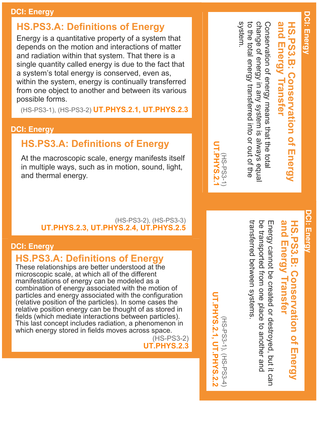#### **DCI: Energy**

#### **HS.PS3.A: Definitions of Energy**

Energy is a quantitative property of a system that depends on the motion and interactions of matter and radiation within that system. That there is a single quantity called energy is due to the fact that a system's total energy is conserved, even as, within the system, energy is continually transferred from one object to another and between its various possible forms.

(HSPS31), (HSPS32) **UT.PHYS.2.1, UT.PHYS.2.3**

#### **DCI: Energy**

#### **HS.PS3.A: Definitions of Energy**

At the macroscopic scale, energy manifests itself in multiple ways, such as in motion, sound, light, and thermal energy.

#### (HS-PS3-2), (HS-PS3-3) **UT.PHYS.2.3, UT.PHYS.2.4, UT.PHYS.2.5**

#### **DCI: Energy**

#### **HS.PS3.A: Definitions of Energy**

These relationships are better understood at the microscopic scale, at which all of the different manifestations of energy can be modeled as a combination of energy associated with the motion of particles and energy associated with the configuration (relative position of the particles). In some cases the relative position energy can be thought of as stored in fields (which mediate interactions between particles). This last concept includes radiation, a phenomenon in which energy stored in fields moves across space.

 $(HS-PS3-2)$ **UT.PHYS.2.3** and Energy Transfer **and Energy** HS.PS3.B: Conservation of Energy **HS.PS3.B: Conservation of Energy Transfer**

system. to the total energy transferred into or out of the to the total energy transferred into or out of change of energy in any system is always equa change of energy in any Conservation of energy means that the total Conservation of energy means that the total system is always equal

### **DCI: Energy DCI: Energy**

### and Energy Transfer **and Energy HS.PS3.B: Conservation of Energy HS.PS3.B: Conservation of Energy Transfer**

be transported from one place to another and transferred between systems transferred between systems. be transported Energy cannot be created or destroyed, but it can Energy cannot be created or destroyed, but it can from one place to another and

**UT.PHYS.2.1, UT.PHYS.2.2 UT.PHYS.2.1, UT.PHYS.2.2**(HS-PS3-1), (HS-PS3-4) (HSPS31), (HSPS34)



### **DCI: Energy DCI: Energy**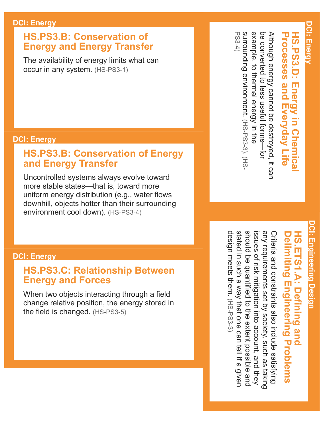#### **HS.PS3.B: Conservation of Energy and Energy Transfer**

The availability of energy limits what can occur in any system.

> $(HS-PS3-1)$ **UT.PHYS.2.1**

#### **DCI: Energy**

#### **HS.PS3.B: Conservation of Energy and Energy Transfer**

Uncontrolled systems always evolve toward more stable states—that is, toward more uniform energy distribution (e.g., water flows downhill, objects hotter than their surrounding environment cool down).

> $(HS-PS3-4)$ **UT.PHYS.2.2**

#### **DCI: Energy**

#### **HS.PS3.C: Relationship Between Energy and Forces**

When two objects interacting through a field change relative position, the energy stored in the field is changed.

> $(HS-PS3-5)$ **UT.PHYS.3.3, UT.PHYS.3.4**

# thermal energy in the surrounding environment thermal energy in the surrounding

### UT.PHYS.2.5, UT.PHYS.2.4, UT.PHYS.2.2 **UT.PHYS.2.5, UT.PHYS.2.4, UT.PHYS.2.2** (HSPS33), (HSPS34) HS-PS3-3), (HS-PS3-4)

### **HS.PS3.D: Processes and Everyday Life Processes and HS.PS3.D: Energy in Chemical**  Energy in Chemica **Everyday Life**

### converted to less useful forms-for example, to converted to less Although energy cannot be destroyed, it can be Although energy cannot be destroyed, it can be useful forms—for example, to environment.

# **DCI: Engineering Design DCI: Engineering Design**

### **Engineering HS.ETS1.A: Defining and Delimiting HS.ETS1.A: Defining and Delimiting**  Engineering Problems **Problems**

stated in such a way that one can tell if a given should be quantified to the extent possible and any requirements set by society, such as taking design meets them design meets them. stated in such a should be quantified to the extent possible and issues of risk mitigation into account, and they any requirements set Criteria and constraints also include satisfying issues of risk mitigation into account, and Criteria and constraints also include satisfying way that one can tell if a given by society, such as taking

**UT.PHYS.2.5 UT.PHYS.2.5, UT.PHYS.2.4**(HS-PS3-3)<br>**UT.PHYS.2.4** (HSPS33)

### **DCI: Energy** DCI: Energy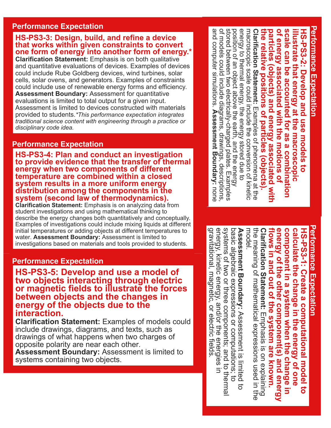#### **Performance Expectation**

#### **HS-PS3-3: Design, build, and refine a device that works within given constraints to convert one form of energy into another form of energy.\***

**Clarification Statement:** Emphasis is on both qualitative and quantitative evaluations of devices. Examples of devices could include Rube Goldberg devices, wind turbines, solar cells, solar ovens, and generators. Examples of constraints could include use of renewable energy forms and efficiency. **Assessment Boundary:** Assessment for quantitative evaluations is limited to total output for a given input. Assessment is limited to devices constructed with materials provided to students.*\*This performance expectation integrates traditional science content with engineering through a practice or disciplinary code idea.*

#### **Performance Expectation**

**HS-PS3-4: Plan and conduct an investigation to provide evidence that the transfer of thermal energy when two components of different temperature are combined within a closed system results in a more uniform energy distribution among the components in the system (second law of thermodynamics).**

**Clarification Statement:** Emphasis is on analyzing data from student investigations and using mathematical thinking to describe the energy changes both quantitatively and conceptually. Examples of investigations could include mixing liquids at different initial temperatures or adding objects at different temperatures to water. **Assessment Boundary:** Assessment is limited to investigations based on materials and tools provided to students.

#### **Performance Expectation**

**HS-PS3-5: Develop and use a model of two objects interacting through electric or magnetic fields to illustrate the forces between objects and the changes in energy of the objects due to the interaction.**

**Clarification Statement:** Examples of models could include drawings, diagrams, and texts, such as drawings of what happens when two charges of opposite polarity are near each other.

**Assessment Boundary:** Assessment is limited to systems containing two objects.

**Performance Expectation Performance Expectation** and computer simulations. Assessment Boundary: none of models could include diagrams, drawings, descriptions stored between two electrically-charged plates. Examples energy to thermal energy, the energy stored due to Clarification Statement: Examples of phenomena at the scale can be accounted for as a combination and computer simulations. of models could stored between two electricallycharged plates. Examples position of an object above the earth, and the energy position of an object above the earth, and the energy energy to thermal energy, the macroscopic scale could include the conversion of kinetic macroscopic **Clarification Statement:** the relative positions of particles (objects). **the relative** particles (objects) and energy associated with **particles (objects) and energy associated with**  of energy associated with the motions of **of energy associated with the motions of scale can be accounted for as a** illustrate that energy at the macroscopic **illustrate that energy** HS-PS3-2: Develop and use models to **HSPS32: Develop and use models to**  scale could include the conversion of kinetic **positions of particles (objects).** include diagrams, drawings, descriptions, Examples of phenomena at the **Assessment Boundary: at the macroscopic**  energy stored due to **combination** 

# **Performance Expectation Performance Expectation**

the meaning of mathematical expressions used in the<br>model. energy of the other component(s) and energy the meaning of Clarification Statement: Emphasis is on explaining **Clarification Statement:**  flows in and out of the system are known. **flows in and out of the system are known. energy of the other component(s) and energy** component in a system when the change in **component in a system when** calculate the change in the energy of one **calculate the** HS-PS3-1: Create a computational model **HSPS31: Create a computational model to**  mathematical expressions used in the **change in the energy of one**  Emphasis is on explaining **the change in**  ទី

gravitational, magnetic, or electric tields energy, kinetic energy, and/or the energies in systems of two or three components; and to therma Assessment Boundary: Assessment is limited to<br>basic algebraic expressions or computations; to gravitational, energy, kinetic energy, and/or the energies in systems of two or three components; and **Assessment Boundary:**  basic algebraic magnetic, or electric fields. expressions or computations; to Assessment is limited to to thermal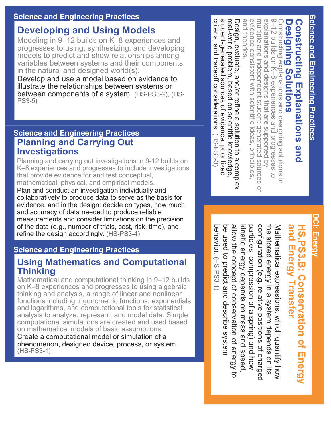#### **Science and Engineering Practices**

#### **Developing and Using Models**

Modeling in 9–12 builds on K–8 experiences and progresses to using, synthesizing, and developing models to predict and show relationships among variables between systems and their components in the natural and designed world(s).

Develop and use a model based on evidence to illustrate the relationships between systems or between components of a system. (HS-PS3-2), (HS-PS35)

#### **Science and Engineering Practices Planning and Carrying Out Investigations**

Planning and carrying out investigations in 9-12 builds on K–8 experiences and progresses to include investigations that provide evidence for and test conceptual, mathematical, physical, and empirical models.

Plan and conduct an investigation individually and collaboratively to produce data to serve as the basis for evidence, and in the design: decide on types, how much, and accuracy of data needed to produce reliable measurements and consider limitations on the precision of the data (e.g., number of trials, cost, risk, time), and refine the design accordingly. (HS-PS3-4)

#### **Science and Engineering Practices**

#### **Using Mathematics and Computational Thinking**

Mathematical and computational thinking in 9–12 builds on K–8 experiences and progresses to using algebraic thinking and analysis, a range of linear and nonlinear functions including trigonometric functions, exponentials and logarithms, and computational tools for statistical analysis to analyze, represent, and model data. Simple computational simulations are created and used based on mathematical models of basic assumptions.

Create a computational model or simulation of a phenomenon, designed device, process, or system.  $(HS-PS3-1)$ 

and theories. evidence consistent with scientific ideas, principles 9–12 builds on K–8 experiences and progresses to<br>explanations and designs that are supported by and theories. evidence multiple and independent student-generated sources multiple and independent studentgenerated sources of explanations and designs that are supported 9–12 builds on K–8 Constructing explanations and designing solutions in **Constructing Explanations and**  Constructing explanations and designing solutions in **Designing Designing Solutions** Constructing Explanations and consistent with scientific ideas, principles, **Solutions** experiences and progresses to

 $\overline{C}$ 

student-generated sources of evidence, prioritized Design, evaluate, and/or refine a solution to a complex<br>real-world problem, based on scientific knowledge, criteria, and tradeoff considerations. (HS-PS3-3) criteria, and tradeoff considerations. studentgenerated sources realworld Design, evaluate, and/or refine a solution to a complex problem, based on scientific knowledge, of evidence, prioritized (HSPS33)

> **DCI: Energy** DCI: Energy

### and Energy Transfer **and Energy** HS.PS3.B: Conservation of Energy **HS.PS3.B: Conservation of Energy Transfer**

behavior. (HS-PS3-1) be used to predict and describe system allow the concept of conservation of energy to particles, compression of a spring) and how configuration (e.g. relative positions of charged the stored energy in a system depends on its the stored energy in a behavior. be used to predict and describe system allow the concept of conservation of kinetic energy depends on mass and speed, kinetic energy particles, compression of a spring) and how configuration (e.g. relative positions of Mathematical expressions, which quantify how Mathematical expressions, which quantify how (HSPS31)depends on mass and speed, system depends on its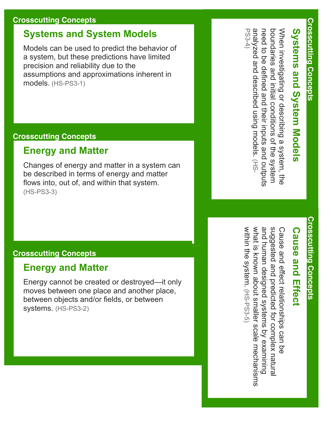#### **Crosscutting Concepts**

#### **Systems and System Models**

Models can be used to predict the behavior of a system, but these predictions have limited precision and reliability due to the assumptions and approximations inherent in models. (HS-PS3-1)

#### **Crosscutting Concepts**

#### **Energy and Matter**

Changes of energy and matter in a system can be described in terms of energy and matter flows into, out of, and within that system.  $(HS-PS3-3)$ 

#### **Crosscutting Concepts**

#### **Energy and Matter**

Energy cannot be created or destroyed—it only moves between one place and another place, between objects and/or fields, or between systems. (HS-PS3-2)

analyzed and described using models. (HS analyzed and described using models. When investigating or describing a system, the need to be defined and their inputs and outputs need to be defined and their inputs and boundaries and initial conditions of the system boundaries and initial When investigating or describing a system, the Systems and System Models **Systems and System Models** conditions of the system

PS34)

## **Crosscutting Concepts Crosscutting Concepts**

### **Cause and Effect Cause and Effect**

and human designed systems by examining suggested and predicted for complex natura within the system. (HS-PS3-5 within the system. what is known about smaller scale mechanisms and human designed systems by examining suggested and predicted for Cause and effect relationships can be Cause and effect relationships can be known about smaller scale mechanisms (HSPS35) complex natural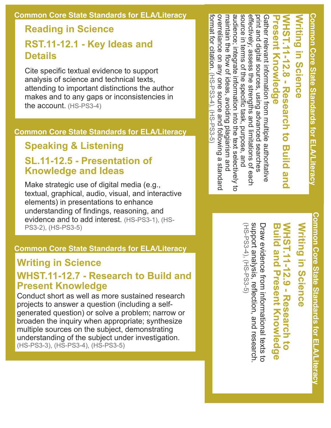#### **Common Core State Standards for ELA/Literacy**

#### **Reading in Science**

#### **RST.1112.1 Key Ideas and Details**

Cite specific textual evidence to support analysis of science and technical texts, attending to important distinctions the author makes and to any gaps or inconsistencies in the account. (HS-PS3-4)

#### **Common Core State Standards for ELA/Literacy**

#### **Speaking & Listening**

#### **SL.1112.5 Presentation of Knowledge and Ideas**

Make strategic use of digital media (e.g., textual, graphical, audio, visual, and interactive elements) in presentations to enhance understanding of findings, reasoning, and evidence and to add interest. (HS-PS3-1), (HS-PS3-2), (HS-PS3-5)

#### **Common Core State Standards for ELA/Literacy**

#### **Writing in Science**

#### **WHST.1112.7 Research to Build and Present Knowledge**

Conduct short as well as more sustained research projects to answer a question (including a selfgenerated question) or solve a problem; narrow or broaden the inquiry when appropriate; synthesize multiple sources on the subject, demonstrating understanding of the subject under investigation. (HS-PS3-3), (HS-PS3-4), (HS-PS3-5)

format for citation. (HS-PS3-4), overreliance on any one source and following a standarc audience; integrate information into the text selectively to effectively; assess the strengths and limitations of each<br>source in terms of the specific task, purpose, and Gather relevant information from multiple authoritative<br>print and digital sources, using advanced searches format for citation. overreliance maintain the flow of ideas, avoiding plagiarism and audience; integrate information into the text selectively source in terms of the specific task, effectively; assess the WHST.1111112.8 **Research to Build and** maintain the flow of ideas, avoiding plagiarism and Gather relevant information from multiple authoritative **NHST.11-12.8 - Research to Writing resent Knowledge** digital sources, using advanced searches **in Science Knowledge** on any one source and following a standard (HSPS34), (HSPS35) strengths and limitations of each G-5S3-53 purpose, and **Build and** 

> **Common Core State Standards for ELA/Literacy** Common Core State Standards for ELA/Literac)

**Common Core State Standards for ELA/Literacy**

Common Core State Standards fLA/Literacy

## **Writing in Science** Writing in Science

### **WHST.11-12.9 - Research to Build and Present Knowledge NHST.11-12.9 - Research to and Present Knowledge**

support analysis, reflection, and research Draw evidence from informational texts to (HS-PS3-4), (HS-PS3-5) (HS-PS3-4), (HS-PS3-5) support analysis, Draw evidence from informational texts to reflection, and research.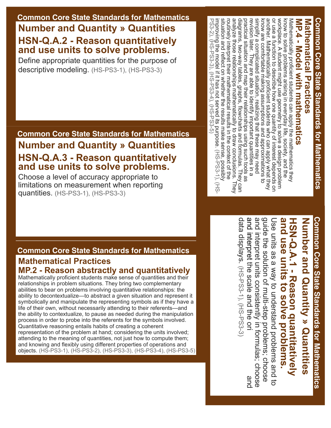#### **Common Core State Standards for Mathematics Number and Quantity » Quantities HSN-Q.A.2 - Reason quantitatively and use units to solve problems.**

Define appropriate quantities for the purpose of descriptive modeling. (HS-PS3-1), (HS-PS3-3)

#### **Common Core State Standards for Mathematics Number and Quantity » Quantities HSN-Q.A.3 - Reason quantitatively and use units to solve problems.**

Choose a level of accuracy appropriate to limitations on measurement when reporting quantities. (HS-PS3-1), (HS-PS3-3)

PS3-2), (HS-PS3-3), (HS-PS3-4), (HS-PS3-5) routinely interpret their mathematical results in the context of the<br>situation and reflect on whether the results make sense, possibly analyze those relationships mathematically to draw conclusions. They practical situation and map their relationships using such tools as diagrams, two-way tables, graphs, flowcharts and formulas. They can simplify a complicated situation, realizing that these may need know are comfortable making assumptions and approximations to another. Mathematically proficient students who can apply what they or use a function to describe how one quantity of interest depends or improving the model if it has not served its purpose.  $(HS-PSS-1)$ ,  $(HS)$ situation and reflect on whether the results make sense, analyze those relationships mathematically to draw diagrams, twoway tables, graphs, flowcharts and simplify a complicated situation, another. Mathematically or use a function to workplace. A student might use geometry to solve a design problem workplace. A Mathematically proficient students can apply the mathematics they<br>know to solve problems arising in everyday life, society, and the PS32), (HSPS33), (HSPS34), (HSPS35) improving the model if it has not served its purpose. (HS-PS3-1), (HSroutinely interpret their mathematical results in the practical situation and map their relationships revision later. They are able to identify important quantities in a revision later. They are able to identify know are comfortable making Mathematically proficient students can apply the mathematics they **MP.4 Model with mathematics** Mathematical Practices **Mathematical Practices** MP.4 - Model with mathematics solve problems arising in everyday life, society, and the student might use geometry to solve a design problem describe how one quantity of interest depends on proficient students who can apply what they assumptions and approximations to realizing that these may need important quantities in a using such tools as formulas. They can context of the conclusions. They

# Common Core State Standards for Mathematics **Common Core State Standards for Mathematics**

**Common Core State Standards for Mathematics**

Common Core State Standards for Mathematics

### and use units to solve problems. **and HSNQ.A.1 Reason quantitatively**  Number and Quantity » Quantities HSN-Q.A.1 - Reason drantitatively **Number and Quantity » Quantities use units to solve problems.**

guide the solution of multi-step problems; choose<br>and interpret units consistently in formulas; choose data displays. (HS-PS3-1), (HS-PS3-3) and interpret the scale and the ori data displays. and interpret and interpret the scale and the ori and interpret units consistently in formulas; guide the solution of Use units as a way to understand problems and to Use units as a way to understand problems and to (HSPS31), (HSPS33)multistep problems; choose and

#### **Common Core State Standards for Mathematics**

#### **Mathematical Practices MP.2 Reason abstractly and quantitatively**

Mathematically proficient students make sense of quantities and their relationships in problem situations. They bring two complementary abilities to bear on problems involving quantitative relationships: the ability to decontextualize—to abstract a given situation and represent it symbolically and manipulate the representing symbols as if they have a life of their own, without necessarily attending to their referents—and the ability to contextualize, to pause as needed during the manipulation process in order to probe into the referents for the symbols involved. Quantitative reasoning entails habits of creating a coherent representation of the problem at hand; considering the units involved; attending to the meaning of quantities, not just how to compute them; and knowing and flexibly using different properties of operations and objects. (HS-PS3-1), (HS-PS3-2), (HS-PS3-3), (HS-PS3-4), (HS-PS3-5)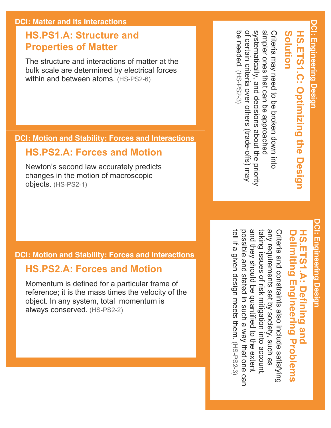#### **HS.PS1.A: Structure and Properties of Matter**

The structure and interactions of matter at the bulk scale are determined by electrical forces within and between atoms. (HS-PS2-6)

#### **DCI: Motion and Stability: Forces and Interactions**

#### **HS.PS2.A: Forces and Motion**

Newton's second law accurately predicts changes in the motion of macroscopic objects. (HS-PS2-1)

#### **DCI: Motion and Stability: Forces and Interactions**

#### **HS.PS2.A: Forces and Motion**

Momentum is defined for a particular frame of reference; it is the mass times the velocity of the object. In any system, total momentum is always conserved. (HS-PS2-2)

systematically, and decisions apport the priority simpler ones that can be approached systematically, and decisions about the priority simpler ones that can be Criteria may need to be broken down into Criteria may need to be broken down into **Solution HS.ETS1.C: Optimizing the Design**  HS.ETS1.C: Optimizing the Desi **Solution** approached

of certain

be needed.

(HS-PS2-3)

be needed. (HS-PS2-3

criteria over others (trade-offs) may

of certain criteria over others (trade-offs) may

# **DCI: Engineering Design DCI: Engineering Design**

### **Delimiting Engineering HS.ETS1.A: Defining and HS.ETS1.A: Defining** elimiting Engineering Problems | and **Problems**

any requirements set by society, such as and they should be quantified to the extent taking issues of risk mitigation into account, possible and stated in such a way that one car taking issues of risk mitigation into account. Criteria and constraints also include satisfying Criteria and constraints also include satisfying iell if a given design meets them. (HS-PS2-3) they should be quantified to the extent by society, such as way that one can (HS-PS2-3)

any requirements set possible and stated in such a tell if a given design meets them.

**DCI: Engineering Design** DCI: Engineering Desigr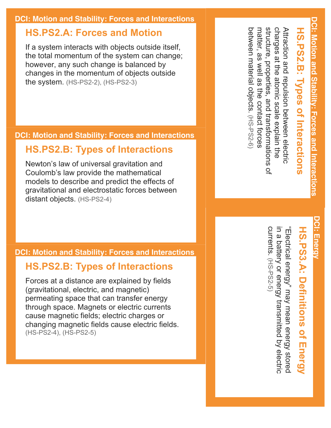#### **DCI: Motion and Stability: Forces and Interactions**

#### **HS.PS2.A: Forces and Motion**

If a system interacts with objects outside itself, the total momentum of the system can change; however, any such change is balanced by changes in the momentum of objects outside the system. (HS-PS2-2), (HS-PS2-3)

#### **DCI: Motion and Stability: Forces and Interactions**

#### **HS.PS2.B: Types of Interactions**

Newton's law of universal gravitation and Coulomb's law provide the mathematical models to describe and predict the effects of gravitational and electrostatic forces between distant objects. (HS-PS2-4)

#### **DCI: Motion and Stability: Forces and Interactions**

#### **HS.PS2.B: Types of Interactions**

Forces at a distance are explained by fields (gravitational, electric, and magnetic) permeating space that can transfer energy through space. Magnets or electric currents cause magnetic fields; electric charges or changing magnetic fields cause electric fields. (HS-PS2-4), (HS-PS2-5)

charges at the atomic scale explain the Attraction and repulsion between electric charges at the atomic scale Attraction and repulsion between electric **HS.PS2.B: Types of Interactions** HS.PS2.B: **Iypes of Interactions** explain the

matter,

თ<br>თ

between material objects.

between material objects. (HS-PS2-6

(HSPS26)

structure, properties, and transformations of

 $\frac{1}{2}$ 

structure, properties, and transformations

well as the contact forces

**DCI: Motion and Stability: Forces and Interactions**

DCI: Motion and Stability: Forces and Interactions

### **DCI: Energy** DCI: Energy

# **HS.PS3.A: Definitions of Energy HS.PS3.A: Definitions of Energy**

currents. (HS-PS2-5) currents. in a battery or energy "Electrical energy" may mean energy stored in a battery or energy transmitted by electric 'Electrical energy" may mean energy stored (HSPS25)transmitted by electric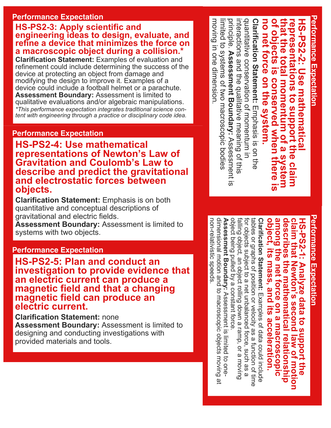#### **Performance Expectation**

#### **HS-PS2-3: Apply scientific and engineering ideas to design, evaluate, and**  refine a device that minimizes the force on **a macroscopic object during a collision.\***

**Clarification Statement:** Examples of evaluation and refinement could include determining the success of the device at protecting an object from damage and modifying the design to improve it. Examples of a device could include a football helmet or a parachute. **Assessment Boundary:** Assessment is limited to qualitative evaluations and/or algebraic manipulations. *\*This performance expectation integrates traditional science content with engineering through a practice or disciplinary code idea.*

#### **Performance Expectation**

**HS-PS2-4: Use mathematical representations of Newton's Law of Gravitation and Coulomb's Law to describe and predict the gravitational and electrostatic forces between objects.**

**Clarification Statement:** Emphasis is on both quantitative and conceptual descriptions of gravitational and electric fields.

**Assessment Boundary:** Assessment is limited to systems with two objects.

#### **Performance Expectation**

**HS-PS2-5: Plan and conduct an investigation to provide evidence that an electric current can produce a magnetic field and that a changing magnetic field can produce an electric current.**

**Clarification Statement:** none **Assessment Boundary:** Assessment is limited to designing and conducting investigations with provided materials and tools.

Performance Expectation quantitative conservation of momentum in interactions and the qualitative meaning of this<br>principle. Assessment Boundary: Assessment is quantitative conservation of **of objects is that the total momentum of a system conserved when there is**  interactions and the qualitative meaning of this Clarification Statement: Emphasis is on the **Clarification Statement: no net force on the system. representations to support the HSPS22: Use mathematical**  no net force **HS-PS2-2:** epresentations to support the hat the total momentum of a system objects is **Use mathematica** on the system. conserved when Emphasis is on the momentum in cnere **claim** 

**Assessment Boundary:** 

limited to systems of two

limited to systems of two macroscopic bodies

moving in one dimension.

moving in one dimension

Assessment is

macroscopic bodies

**Performance Expectation Performance Expectation** 

**Performance Expectation**

object, its mass, and its acceleration. **among the net force on a macroscopic object, its mass, and its acceleration.** among the net force on a macroscopic describes the mathematical relationship **describes the mathematical** claim that Newton's second law of motion **claim HSPS21: Analyze data to support the that Newton's second law of motion**  HS-PS2-1: Analyze data to s uppoort the **relationship** 

dimensional motion and to macroscopic objects moving dimensional motion Assessment Boundary: Assessment is limited to one **Assessment Boundary:**  object being pulled by a constant force object being pulled by a constant force. falling object, an object rolling down a ramp, for objects subject to a net tables or graphs **Clarification Statement:** falling object, an object rolling down a ramp, or a moving for objects subject to a net unbalanced force, such as a tables or graphs of position or velocity as a function of time Clarification Statement: Examples of data could include of position or velocity as a function of time and to macroscopic objects moving at Assessment is limited to one-Examples of data could include unbalanced force, such as a or a moving  $\overline{\omega}$ 

nonrelativistic speeds.

non-relativistic speeds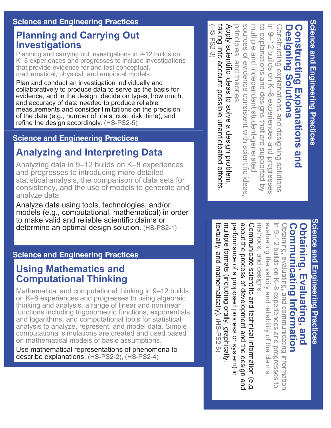#### **Planning and Carrying Out Investigations**

Planning and carrying out investigations in 9-12 builds on K–8 experiences and progresses to include investigations that provide evidence for and test conceptual, mathematical, physical, and empirical models.

Plan and conduct an investigation individually and collaboratively to produce data to serve as the basis for evidence, and in the design: decide on types, how much, and accuracy of data needed to produce reliable measurements and consider limitations on the precision of the data (e.g., number of trials, cost, risk, time), and refine the design accordingly. (HS-PS2-5)

#### **Science and Engineering Practices**

#### **Analyzing and Interpreting Data**

Analyzing data in 9–12 builds on K–8 experiences and progresses to introducing more detailed statistical analysis, the comparison of data sets for consistency, and the use of models to generate and analyze data.

Analyze data using tools, technologies, and/or models (e.g., computational, mathematical) in order to make valid and reliable scientific claims or determine an optimal design solution. (HS-PS2-1)

#### **Science and Engineering Practices**

#### **Using Mathematics and Computational Thinking**

Mathematical and computational thinking in 9–12 builds on K–8 experiences and progresses to using algebraic thinking and analysis, a range of linear and nonlinear functions including trigonometric functions, exponentials and logarithms, and computational tools for statistical analysis to analyze, represent, and model data. Simple computational simulations are created and used based on mathematical models of basic assumptions.

Use mathematical representations of phenomena to describe explanations. (HS-PS2-2), (HS-PS2-4)

sources of evidence consistent with scientific ideas taking into account Apply scientific ideas to solve a design problem, sources of evidence to explanations and designs that are supported by to explanations and designs that are supported in 9-12 builds on K-8 experiences and progresses Constructing explanations and designing solutions **Constructing Explanations and**  taking into account possible unanticipated effects Apply scientific ideas to solve a design problem. principles, and theories principles, and theories. multiple and independent student-generated multiple and independent studentgenerated in 9–12 builds on K–8 Constructing explanations and designing solutions **Designing** Designing Solutions Constructing Explanations and **Solutions** possible unanticipated effects. consistent with scientific ideas, experiences and progresses

(HSPS23)

 $(HS-PSS-3)$ 

**Science and Engineering Practices Science and Engineering Practices**

### **Communicating Obtaining, Evaluating, and**  Dbtaining, Evaluating, and<br>Communicating Information **nformation**

evaluating the validity and reliability of the claims in 9-12 builds on K-8 experiences and progresses evaluating the validity and reliability of the in 9–12 builds on K–8 Obtaining, evaluating, and communicating informatior Obtaining, evaluating, and communicating information experiences and progresses to  $\overline{a}$ 

about the process of development and the design and textually, and mathematically). multiple formats (including orally, graphically multiple formats (including orally, performance of a proposed process or system) in performance of a about the Communicate scientific and technical information (e.g. Communicate scientific and technical information (e.g. methods, and designs. methods, and designs. extually, and mathematically). (HS-PS2-6) process of development and the design and proposed process or system) in (HSPS26)graphically,

Science and Engineering Practices **Science and Engineering Practices**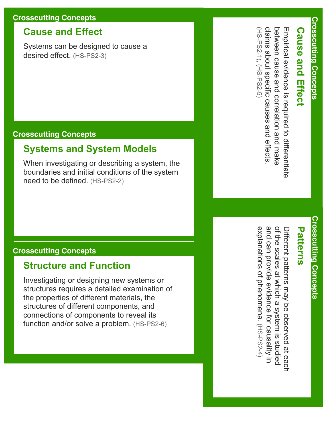#### **Crosscutting Concepts**

#### **Cause and Effect**

Systems can be designed to cause a desired effect. (HS-PS2-3)

#### **Crosscutting Concepts**

#### **Systems and System Models**

When investigating or describing a system, the boundaries and initial conditions of the system need to be defined. (HS-PS2-2)

#### **Crosscutting Concepts**

#### **Structure and Function**

Investigating or designing new systems or structures requires a detailed examination of the properties of different materials, the structures of different components, and connections of components to reveal its function and/or solve a problem. (HS-PS2-6)

### **Cause and Effect Cause and Effect**

claims about specific causes and effects between cause and correlation and make Empirical evidence is required to differentiate (HS-PS2-1), (HS-PS2-5 (HSPS21), (HSPS25) claims about specific causes and effects. between cause and Empirical evidence is required to differentiate correlation and make

### **Crosscutting Concepts Crosscutting Concepts**

### **Patterns Patterns**

and can provide evidence for causality in explanations of phenomena. (HS-PS2-4 explanations of phenomena. and can provide evidence for causality in of the scales at which a system is studied of the scales at which a Different patterns may be observed at each Different patterns may be observed at each system is studied (HSPS24)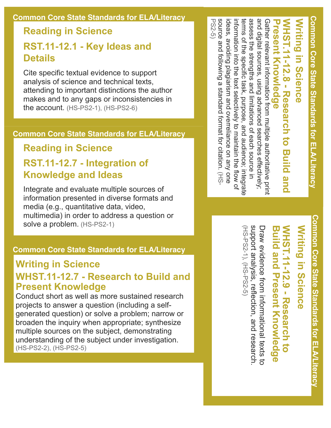#### **Common Core State Standards for ELA/Literacy**

#### **Reading in Science RST.1112.1 Key Ideas and Details**

Cite specific textual evidence to support analysis of science and technical texts, attending to important distinctions the author makes and to any gaps or inconsistencies in the account. (HS-PS2-1), (HS-PS2-6)

#### **Common Core State Standards for ELA/Literacy**

#### **Reading in Science**

#### **RST.1112.7 Integration of Knowledge and Ideas**

Integrate and evaluate multiple sources of information presented in diverse formats and media (e.g., quantitative data, video, multimedia) in order to address a question or solve a problem. (HS-PS2-1)

#### **Common Core State Standards for ELA/Literacy**

#### **Writing in Science WHST.1112.7 Research to Build and Present Knowledge**

Conduct short as well as more sustained research projects to answer a question (including a selfgenerated question) or solve a problem; narrow or broaden the inquiry when appropriate; synthesize multiple sources on the subject, demonstrating understanding of the subject under investigation. (HS-PS2-2), (HS-PS2-5)

PS25) source and following a standard format for citation. (HS and digital sources, using advanced searches effectively;<br>assess the strengths and limitations of each source in source and following a standard format for citation. ideas, avoiding plagiarism and overreliance on any one ideas, avoiding plagiarism and overreliance information into the text selectively to maintain the flow of information into the text selectively terms of the specific task, purpose, and audience; integrate terms of the specific task, assess the Gather relevant information from multiple authoritative print Gather relevant information from multiple authoritative print WHST.1111112.8 - Research to Build and **Present NHST.11-12.8 - Research to Build and** Writing in Science digital sources, using advanced searches effectively; strengths and limitations of each source in **in Science Knowledge** purpose, and audience; integrate to maintain the flow of on any one

> **Common Core State Standards for ELA/Literacy** Common Core State Standards for ELA/Literacy

## **Writing in Science Writing in Science**

### **WHST.11-12.9 - Research to Build**  NHST.11-12.9 - Research **and Present Knowledge**  $\overline{a}$

support analysis, reflection, and research (HS-PS2-1), (HS-PS2-5) (HSPS21), (HSPS25)support analysis, Draw exidence from informational fexts to Draw evidence from informational texts to reflection, and research.

**Common Core State Standards for ELA/Literacy Common Core State Standards for ELA/Literacy**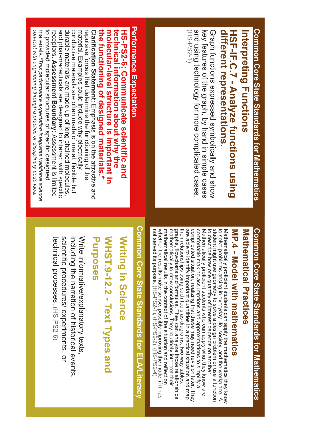# Common Core State Standards for Mathematics **Common Core State Standards for Mathematics**

# Interpreting Functions **Interpreting Functions**

# different representations HSF-IF.C.7 - Analyze functions using **different HSFIF.C.7 Analyze functions using representations.**

(HS-PS2-1 and using technology for more complicated cases key features of the graph, by hand in simple cases Graph functions expressed symbolically and show (HSPS21) and using technology for more complicated key features of the Graph functions expressed symbolically and show graph, by hand in simple cases cases.

# Mathematical Practices Common Core State Standards for Mathematics **Common Core State Standards for Mathematics Mathematical Practices**

## MP.4 - Model with mathematics **MP.4 Model with mathematics**

whether the results make sense, possibly improving the model if it has<br>not served its purpose.  $(HS-PSS^{-1}), (HS-PS2-2), (HS-PS2-4)$ mathematical results in the context of the situation and reflect on graphs, flowcharts and formulas. They can analyze those relationships<br>mathematically to draw conclusions. They routinely interpret their their relationships using such tools as diagrams, two-way tables, are able to identify important quantities in a practical situation and map complicated situation, realizing that these may need revision later. They comfortable making assumptions and approximations to simplify a Mathematically proficient students who can apply what they know are not served its purpose. (HSPS21), (HSPS22), (HSPS24)whether the results make sense, mathematical results in the mathematically to draw graphs, flowcharts and their relationships are able to identify complicated situation, comfortable making Mathematically ರ ಇ ರ student might use geometry to solve a design problem or use a function Mathematically proficient students can apply the mathematics they know describe how one quantity of interest depends on another. solve problems arising in everyday life, society, and the workplace. A proficient students who can apply what they know are using such tools as diagrams, twoway tables, important quantities in a practical situation and map assumptions and approximations to simplify a realizing that these may need revision later. They formulas. They can analyze those relationships conclusions. They routinely interpret their context of the situation and reflect on possibly improving the model if it has

# **Common Core State Standards for ELA/Literacy** Common Core State Standards for ELA/Literacy

### WHST.9-12.2 - Text Types and **Writing in Science Purposes** WHST.9-12.2 - Text Types and **Writing in Science**

including the narration of historical events Write informative/explanatory texts technical processes. (HS-PS2-6) scientific procedures/ experiments, or technical scientific procedures/ experiments, or including the narration of Write informative/explanatory processes. (HSPS26) historical events,

# **Performance Expectation Performance Expectation**

**HSPS26: Communicate scientific and** 

HS-PSS-6: Communicate scientific and

to provided molecular structures of specific designed receptors. Assessment Boundary: Assessment is limited conductive materials are often made of metal, flexible but material. Examples could include why electrically Clarification Statement: Emphasis is on the attractive and<br>repulsive forces that determine the functioning of the the functioning of designed materials.\* molecular-level structure is important in *con-tent with* materials.to provided molecular receptors. **Assessment Boundary:** and durable materials are made up of long chained molecules, conductive materials are often made of metal, material. Examples could **Clarification Statement: the functioning of designed materials.\* information about why the molecularlevel structure is important in**  technical information about why the **technical** pharmaceuticals are designed to interact with specific forces that determine the functioning of the *\*This performance expectation integrates traditional science engineering through a practice or disciplinary code idea.* structures of specific designed include why electrically Emphasis is on the attractive and Assessment is limited flexible but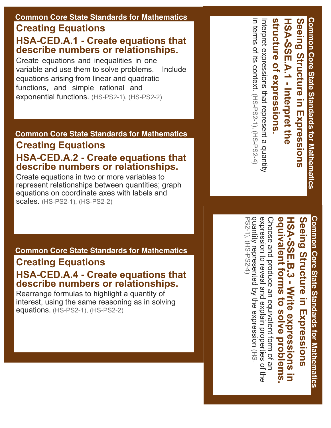#### **Common Core State Standards for Mathematics Creating Equations**

#### **HSA-CED.A.1 - Create equations that describe numbers or relationships.**

Create equations and inequalities in one variable and use them to solve problems. Include equations arising from linear and quadratic functions, and simple rational and exponential functions. (HS-PS2-1), (HS-PS2-2)

#### **Common Core State Standards for Mathematics**

#### **Creating Equations HSA-CED.A.2 - Create equations that describe numbers or relationships.**

Create equations in two or more variables to represent relationships between quantities; graph equations on coordinate axes with labels and scales. (HS-PS2-1), (HS-PS2-2)

**Common Core State Standards for Mathematics**

#### **Creating Equations**

#### **HSA-CED.A.4 - Create equations that describe numbers or relationships.**

Rearrange formulas to highlight a quantity of interest, using the same reasoning as in solving equations. (HS-PS2-1), (HS-PS2-2)

Structure of expressions Seeing Structure in Expressions Common Core State Standards for Mathematics **Common Core State Standards for Mathematics** Interpret expressions that represent a quantity **structure of expressions.** Interpret expressions that represent a quantity **HSASSE.A.1 Interpret the**  HSA-SSE.A.1 - Interpret the **Structure in Expressions**

in terms of its context.

(HSPS21), (HSPS24)

in terms of its context. (HS-PS2-1), (HS-PS2-4

Seeing Structure in Expressions **Common Core State Standards for Mathematics Common Core State Standards for Mathematics Structure in Expressions**

# **equivalent forms to HSASSE.B.3 Write expressions in solve problems.** equivalent forms to solve problems HSA-SSE.B.3 - Write expressions in

quantity represented by the expression (HS<br>PS2-1), (HS-PS2-4) expression to reveal and explain properties of the PS2-1), (HS-PS2-4) quantity represented by the expression expression to reveal and Choose and produce an equivalent form of an Choose and produce an equivalent form of an explain properties of the